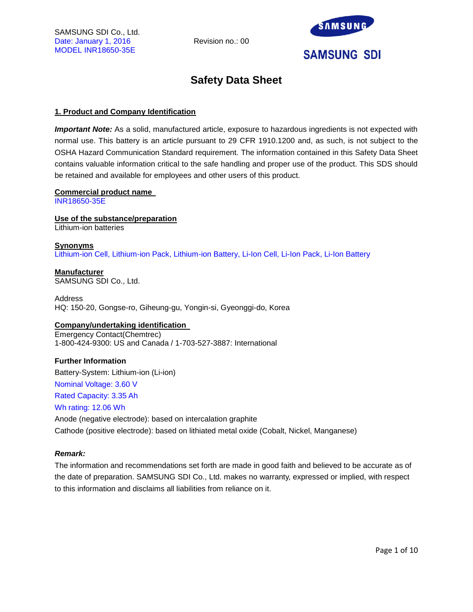

# **Safety Data Sheet**

# **1. Product and Company Identification**

*Important Note:* As a solid, manufactured article, exposure to hazardous ingredients is not expected with normal use. This battery is an article pursuant to 29 CFR 1910.1200 and, as such, is not subject to the OSHA Hazard Communication Standard requirement. The information contained in this Safety Data Sheet contains valuable information critical to the safe handling and proper use of the product. This SDS should be retained and available for employees and other users of this product.

# **Commercial product name**

INR18650-35E

**Use of the substance/preparation** Lithium-ion batteries

#### **Synonyms** Lithium-ion Cell, Lithium-ion Pack, Lithium-ion Battery, Li-Ion Cell, Li-Ion Pack, Li-Ion Battery

**Manufacturer** SAMSUNG SDI Co., Ltd.

Address HQ: 150-20, Gongse-ro, Giheung-gu, Yongin-si, Gyeonggi-do, Korea

# **Company/undertaking identification**

Emergency Contact(Chemtrec) 1-800-424-9300: US and Canada / 1-703-527-3887: International

# **Further Information**

Battery-System: Lithium-ion (Li-ion)

Nominal Voltage: 3.60 V

Rated Capacity: 3.35 Ah

# Wh rating: 12.06 Wh

Anode (negative electrode): based on intercalation graphite Cathode (positive electrode): based on lithiated metal oxide (Cobalt, Nickel, Manganese)

# *Remark:*

The information and recommendations set forth are made in good faith and believed to be accurate as of the date of preparation. SAMSUNG SDI Co., Ltd. makes no warranty, expressed or implied, with respect to this information and disclaims all liabilities from reliance on it.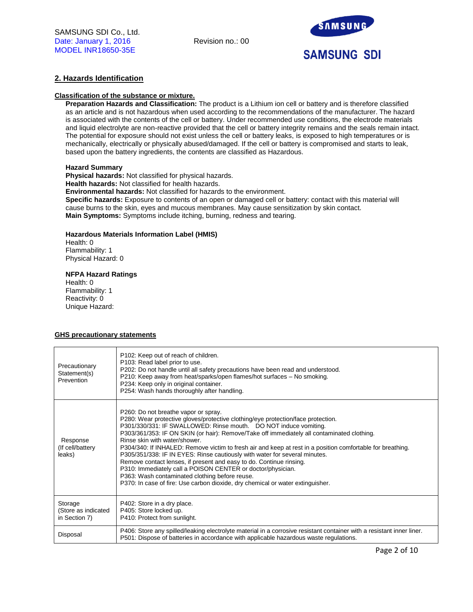

# **2. Hazards Identification**

### **Classification of the substance or mixture.**

**Preparation Hazards and Classification:** The product is a Lithium ion cell or battery and is therefore classified as an article and is not hazardous when used according to the recommendations of the manufacturer. The hazard is associated with the contents of the cell or battery. Under recommended use conditions, the electrode materials and liquid electrolyte are non-reactive provided that the cell or battery integrity remains and the seals remain intact. The potential for exposure should not exist unless the cell or battery leaks, is exposed to high temperatures or is mechanically, electrically or physically abused/damaged. If the cell or battery is compromised and starts to leak, based upon the battery ingredients, the contents are classified as Hazardous.

#### **Hazard Summary**

**Physical hazards:** Not classified for physical hazards. **Health hazards:** Not classified for health hazards. **Environmental hazards:** Not classified for hazards to the environment. **Specific hazards:** Exposure to contents of an open or damaged cell or battery: contact with this material will cause burns to the skin, eyes and mucous membranes. May cause sensitization by skin contact. **Main Symptoms:** Symptoms include itching, burning, redness and tearing.

#### **Hazardous Materials Information Label (HMIS)**

Health: 0 Flammability: 1 Physical Hazard: 0

#### **NFPA Hazard Ratings**

Health: 0 Flammability: 1 Reactivity: 0 Unique Hazard:

## **GHS precautionary statements**

| Precautionary<br>Statement(s)<br>Prevention     | P102: Keep out of reach of children.<br>P103: Read label prior to use.<br>P202: Do not handle until all safety precautions have been read and understood.<br>P210: Keep away from heat/sparks/open flames/hot surfaces - No smoking.<br>P234: Keep only in original container.<br>P254: Wash hands thoroughly after handling.                                                                                                                                                                                                                                                                                                                                                                                                                                                                     |
|-------------------------------------------------|---------------------------------------------------------------------------------------------------------------------------------------------------------------------------------------------------------------------------------------------------------------------------------------------------------------------------------------------------------------------------------------------------------------------------------------------------------------------------------------------------------------------------------------------------------------------------------------------------------------------------------------------------------------------------------------------------------------------------------------------------------------------------------------------------|
| Response<br>(If cell/battery<br>leaks)          | P260: Do not breathe vapor or spray.<br>P280: Wear protective gloves/protective clothing/eye protection/face protection.<br>P301/330/331: IF SWALLOWED: Rinse mouth. DO NOT induce vomiting.<br>P303/361/353: IF ON SKIN (or hair): Remove/Take off immediately all contaminated clothing.<br>Rinse skin with water/shower.<br>P304/340: If INHALED: Remove victim to fresh air and keep at rest in a position comfortable for breathing.<br>P305/351/338: IF IN EYES: Rinse cautiously with water for several minutes.<br>Remove contact lenses, if present and easy to do. Continue rinsing.<br>P310: Immediately call a POISON CENTER or doctor/physician.<br>P363: Wash contaminated clothing before reuse.<br>P370: In case of fire: Use carbon dioxide, dry chemical or water extinguisher. |
| Storage<br>(Store as indicated<br>in Section 7) | P402: Store in a dry place.<br>P405: Store locked up.<br>P410: Protect from sunlight.                                                                                                                                                                                                                                                                                                                                                                                                                                                                                                                                                                                                                                                                                                             |
| Disposal                                        | P406: Store any spilled/leaking electrolyte material in a corrosive resistant container with a resistant inner liner.<br>P501: Dispose of batteries in accordance with applicable hazardous waste regulations.                                                                                                                                                                                                                                                                                                                                                                                                                                                                                                                                                                                    |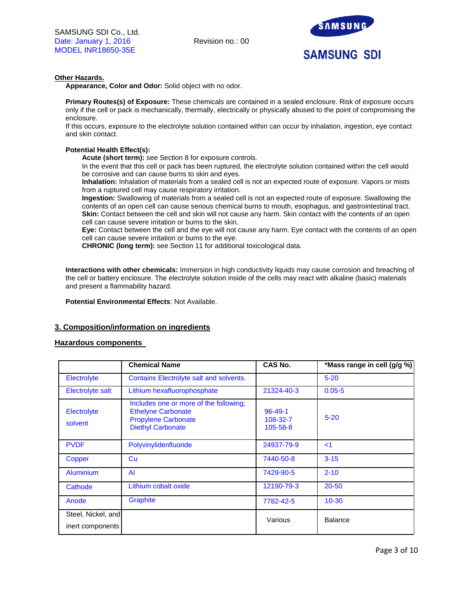

# **Other Hazards.**

**Appearance, Color and Odor:** Solid object with no odor.

**Primary Routes(s) of Exposure:** These chemicals are contained in a sealed enclosure. Risk of exposure occurs only if the cell or pack is mechanically, thermally, electrically or physically abused to the point of compromising the enclosure.

If this occurs, exposure to the electrolyte solution contained within can occur by inhalation, ingestion, eye contact and skin contact.

# **Potential Health Effect(s):**

**Acute (short term):** see Section 8 for exposure controls.

In the event that this cell or pack has been ruptured, the electrolyte solution contained within the cell would be corrosive and can cause burns to skin and eyes.

**Inhalation:** Inhalation of materials from a sealed cell is not an expected route of exposure. Vapors or mists from a ruptured cell may cause respiratory irritation.

**Ingestion:** Swallowing of materials from a sealed cell is not an expected route of exposure. Swallowing the contents of an open cell can cause serious chemical burns to mouth, esophagus, and gastrointestinal tract. **Skin:** Contact between the cell and skin will not cause any harm. Skin contact with the contents of an open cell can cause severe irritation or burns to the skin.

**Eye:** Contact between the cell and the eye will not cause any harm. Eye contact with the contents of an open cell can cause severe irritation or burns to the eye.

**CHRONIC (long term):** see Section 11 for additional toxicological data.

**Interactions with other chemicals:** Immersion in high conductivity liquids may cause corrosion and breaching of the cell or battery enclosure. The electrolyte solution inside of the cells may react with alkaline (basic) materials and present a flammability hazard.

**Potential Environmental Effects**: Not Available.

# **3. Composition/information on ingredients**

## **Hazardous components**

|                                        | <b>Chemical Name</b>                                                                                                          | CAS No.                               | *Mass range in cell (g/g %) |
|----------------------------------------|-------------------------------------------------------------------------------------------------------------------------------|---------------------------------------|-----------------------------|
| Electrolyte                            | Contains Electrolyte salt and solvents.                                                                                       |                                       | $5 - 20$                    |
| Electrolyte salt                       | Lithium hexafluorophosphate                                                                                                   | 21324-40-3                            | $0.05 - 5$                  |
| Electrolyte<br>solvent                 | Includes one or more of the following;<br><b>Ethelyne Carbonate</b><br><b>Propylene Carbonate</b><br><b>Diethyl Carbonate</b> | $96 - 49 - 1$<br>108-32-7<br>105-58-8 | $5 - 20$                    |
| <b>PVDF</b>                            | Polyvinylidenfluoride                                                                                                         | 24937-79-9                            | $\leq$ 1                    |
| Copper                                 | Cu                                                                                                                            | 7440-50-8                             | $3 - 15$                    |
| <b>Aluminium</b>                       | AI                                                                                                                            | 7429-90-5                             | $2 - 10$                    |
| Cathode                                | Lithium cobalt oxide                                                                                                          | 12190-79-3                            | $20 - 50$                   |
| Anode                                  | <b>Graphite</b>                                                                                                               | 7782-42-5                             | $10 - 30$                   |
| Steel, Nickel, and<br>inert components |                                                                                                                               | Various                               | <b>Balance</b>              |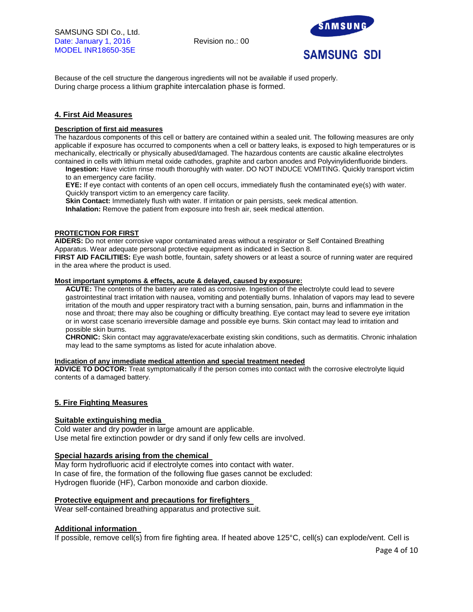

Because of the cell structure the dangerous ingredients will not be available if used properly. During charge process a lithium graphite intercalation phase is formed.

# **4. First Aid Measures**

# **Description of first aid measures**

The hazardous components of this cell or battery are contained within a sealed unit. The following measures are only applicable if exposure has occurred to components when a cell or battery leaks, is exposed to high temperatures or is mechanically, electrically or physically abused/damaged. The hazardous contents are caustic alkaline electrolytes contained in cells with lithium metal oxide cathodes, graphite and carbon anodes and Polyvinylidenfluoride binders.

**Ingestion:** Have victim rinse mouth thoroughly with water. DO NOT INDUCE VOMITING. Quickly transport victim to an emergency care facility.

**EYE:** If eye contact with contents of an open cell occurs, immediately flush the contaminated eye(s) with water. Quickly transport victim to an emergency care facility.

**Skin Contact:** Immediately flush with water. If irritation or pain persists, seek medical attention.

**Inhalation:** Remove the patient from exposure into fresh air, seek medical attention.

## **PROTECTION FOR FIRST**

**AIDERS:** Do not enter corrosive vapor contaminated areas without a respirator or Self Contained Breathing Apparatus. Wear adequate personal protective equipment as indicated in Section 8.

**FIRST AID FACILITIES:** Eye wash bottle, fountain, safety showers or at least a source of running water are required in the area where the product is used.

### **Most important symptoms & effects, acute & delayed, caused by exposure:**

**ACUTE:** The contents of the battery are rated as corrosive. Ingestion of the electrolyte could lead to severe gastrointestinal tract irritation with nausea, vomiting and potentially burns. Inhalation of vapors may lead to severe irritation of the mouth and upper respiratory tract with a burning sensation, pain, burns and inflammation in the nose and throat; there may also be coughing or difficulty breathing. Eye contact may lead to severe eye irritation or in worst case scenario irreversible damage and possible eye burns. Skin contact may lead to irritation and possible skin burns.

**CHRONIC:** Skin contact may aggravate/exacerbate existing skin conditions, such as dermatitis. Chronic inhalation may lead to the same symptoms as listed for acute inhalation above.

## **Indication of any immediate medical attention and special treatment needed**

**ADVICE TO DOCTOR:** Treat symptomatically if the person comes into contact with the corrosive electrolyte liquid contents of a damaged battery.

## **5. Fire Fighting Measures**

# **Suitable extinguishing media**

Cold water and dry powder in large amount are applicable. Use metal fire extinction powder or dry sand if only few cells are involved.

## **Special hazards arising from the chemical**

May form hydrofluoric acid if electrolyte comes into contact with water. In case of fire, the formation of the following flue gases cannot be excluded: Hydrogen fluoride (HF), Carbon monoxide and carbon dioxide.

## **Protective equipment and precautions for firefighters**

Wear self-contained breathing apparatus and protective suit.

# **Additional information**

If possible, remove cell(s) from fire fighting area. If heated above 125°C, cell(s) can explode/vent. Cell is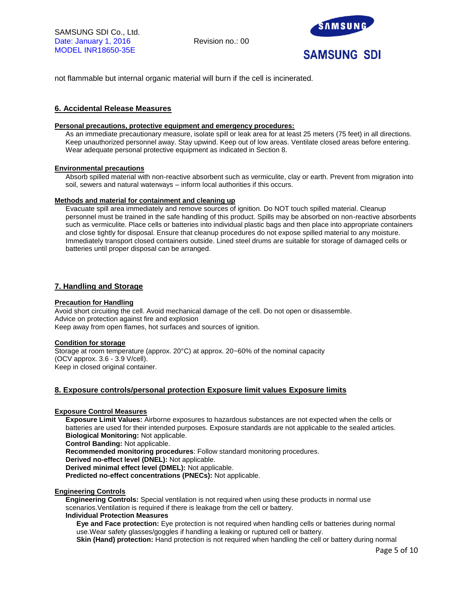

not flammable but internal organic material will burn if the cell is incinerated.

# **6. Accidental Release Measures**

#### **Personal precautions, protective equipment and emergency procedures:**

As an immediate precautionary measure, isolate spill or leak area for at least 25 meters (75 feet) in all directions. Keep unauthorized personnel away. Stay upwind. Keep out of low areas. Ventilate closed areas before entering. Wear adequate personal protective equipment as indicated in Section 8.

#### **Environmental precautions**

Absorb spilled material with non-reactive absorbent such as vermiculite, clay or earth. Prevent from migration into soil, sewers and natural waterways – inform local authorities if this occurs.

#### **Methods and material for containment and cleaning up**

Evacuate spill area immediately and remove sources of ignition. Do NOT touch spilled material. Cleanup personnel must be trained in the safe handling of this product. Spills may be absorbed on non-reactive absorbents such as vermiculite. Place cells or batteries into individual plastic bags and then place into appropriate containers and close tightly for disposal. Ensure that cleanup procedures do not expose spilled material to any moisture. Immediately transport closed containers outside. Lined steel drums are suitable for storage of damaged cells or batteries until proper disposal can be arranged.

# **7. Handling and Storage**

#### **Precaution for Handling**

Avoid short circuiting the cell. Avoid mechanical damage of the cell. Do not open or disassemble. Advice on protection against fire and explosion Keep away from open flames, hot surfaces and sources of ignition.

## **Condition for storage**

Storage at room temperature (approx. 20°C) at approx. 20~60% of the nominal capacity (OCV approx. 3.6 - 3.9 V/cell). Keep in closed original container.

## **8. Exposure controls/personal protection Exposure limit values Exposure limits**

# **Exposure Control Measures**

**Exposure Limit Values:** Airborne exposures to hazardous substances are not expected when the cells or batteries are used for their intended purposes. Exposure standards are not applicable to the sealed articles. **Biological Monitoring:** Not applicable.

**Control Banding:** Not applicable.

**Recommended monitoring procedures**: Follow standard monitoring procedures.

**Derived no-effect level (DNEL):** Not applicable.

**Derived minimal effect level (DMEL):** Not applicable.

**Predicted no-effect concentrations (PNECs):** Not applicable.

#### **Engineering Controls**

**Engineering Controls:** Special ventilation is not required when using these products in normal use scenarios.Ventilation is required if there is leakage from the cell or battery.

#### **Individual Protection Measures**

**Eye and Face protection:** Eye protection is not required when handling cells or batteries during normal use.Wear safety glasses/goggles if handling a leaking or ruptured cell or battery.

**Skin (Hand) protection:** Hand protection is not required when handling the cell or battery during normal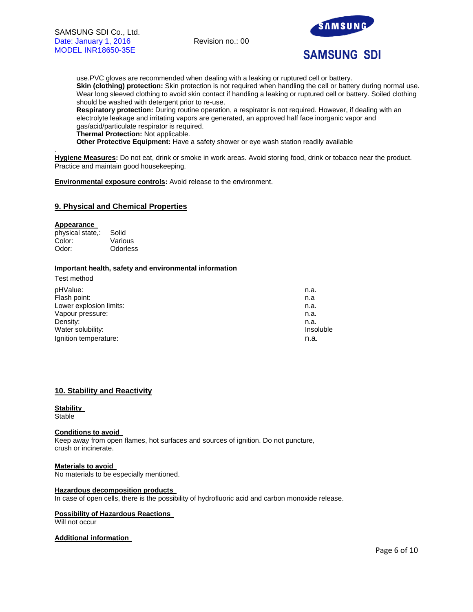

# **SAMSUNG SDI**

use.PVC gloves are recommended when dealing with a leaking or ruptured cell or battery. **Skin (clothing) protection:** Skin protection is not required when handling the cell or battery during normal use. Wear long sleeved clothing to avoid skin contact if handling a leaking or ruptured cell or battery. Soiled clothing should be washed with detergent prior to re-use.

**Respiratory protection:** During routine operation, a respirator is not required. However, if dealing with an electrolyte leakage and irritating vapors are generated, an approved half face inorganic vapor and gas/acid/particulate respirator is required.

**Thermal Protection:** Not applicable.

**Other Protective Equipment:** Have a safety shower or eye wash station readily available

. **Hygiene Measures:** Do not eat, drink or smoke in work areas. Avoid storing food, drink or tobacco near the product. Practice and maintain good housekeeping.

**Environmental exposure controls:** Avoid release to the environment.

# **9. Physical and Chemical Properties**

#### **Appearance**

physical state,: Solid Color: Various Odor: Odorless

# **Important health, safety and environmental information**

| Test method             |           |
|-------------------------|-----------|
| pHValue:                | n.a.      |
| Flash point:            | n.a       |
| Lower explosion limits: | n.a.      |
| Vapour pressure:        | n.a.      |
| Density:                | n.a.      |
| Water solubility:       | Insoluble |
| Ignition temperature:   | n.a.      |
|                         |           |

# **10. Stability and Reactivity**

#### **Stability Stable**

## **Conditions to avoid**

Keep away from open flames, hot surfaces and sources of ignition. Do not puncture, crush or incinerate.

**Materials to avoid**  No materials to be especially mentioned.

#### **Hazardous decomposition products**

In case of open cells, there is the possibility of hydrofluoric acid and carbon monoxide release.

## **Possibility of Hazardous Reactions**

Will not occur

## **Additional information**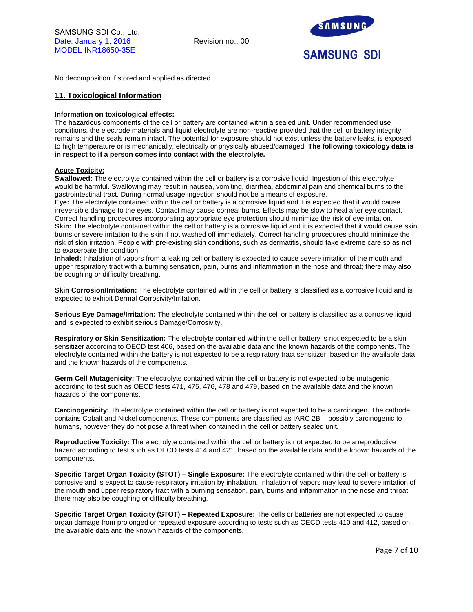

No decomposition if stored and applied as directed.

# **11. Toxicological Information**

### **Information on toxicological effects:**

The hazardous components of the cell or battery are contained within a sealed unit. Under recommended use conditions, the electrode materials and liquid electrolyte are non-reactive provided that the cell or battery integrity remains and the seals remain intact. The potential for exposure should not exist unless the battery leaks, is exposed to high temperature or is mechanically, electrically or physically abused/damaged. **The following toxicology data is in respect to if a person comes into contact with the electrolyte.**

# **Acute Toxicity:**

**Swallowed:** The electrolyte contained within the cell or battery is a corrosive liquid. Ingestion of this electrolyte would be harmful. Swallowing may result in nausea, vomiting, diarrhea, abdominal pain and chemical burns to the gastrointestinal tract. During normal usage ingestion should not be a means of exposure.

**Eye:** The electrolyte contained within the cell or battery is a corrosive liquid and it is expected that it would cause irreversible damage to the eyes. Contact may cause corneal burns. Effects may be slow to heal after eye contact. Correct handling procedures incorporating appropriate eye protection should minimize the risk of eye irritation. **Skin:** The electrolyte contained within the cell or battery is a corrosive liquid and it is expected that it would cause skin burns or severe irritation to the skin if not washed off immediately. Correct handling procedures should minimize the risk of skin irritation. People with pre-existing skin conditions, such as dermatitis, should take extreme care so as not to exacerbate the condition.

**Inhaled:** Inhalation of vapors from a leaking cell or battery is expected to cause severe irritation of the mouth and upper respiratory tract with a burning sensation, pain, burns and inflammation in the nose and throat; there may also be coughing or difficulty breathing.

**Skin Corrosion/Irritation:** The electrolyte contained within the cell or battery is classified as a corrosive liquid and is expected to exhibit Dermal Corrosivity/Irritation.

**Serious Eye Damage/Irritation:** The electrolyte contained within the cell or battery is classified as a corrosive liquid and is expected to exhibit serious Damage/Corrosivity.

**Respiratory or Skin Sensitization:** The electrolyte contained within the cell or battery is not expected to be a skin sensitizer according to OECD test 406, based on the available data and the known hazards of the components. The electrolyte contained within the battery is not expected to be a respiratory tract sensitizer, based on the available data and the known hazards of the components.

**Germ Cell Mutagenicity:** The electrolyte contained within the cell or battery is not expected to be mutagenic according to test such as OECD tests 471, 475, 476, 478 and 479, based on the available data and the known hazards of the components.

**Carcinogenicity:** Th electrolyte contained within the cell or battery is not expected to be a carcinogen. The cathode contains Cobalt and Nickel components. These components are classified as IARC 2B – possibly carcinogenic to humans, however they do not pose a threat when contained in the cell or battery sealed unit.

**Reproductive Toxicity:** The electrolyte contained within the cell or battery is not expected to be a reproductive hazard according to test such as OECD tests 414 and 421, based on the available data and the known hazards of the components.

**Specific Target Organ Toxicity (STOT) – Single Exposure:** The electrolyte contained within the cell or battery is corrosive and is expect to cause respiratory irritation by inhalation. Inhalation of vapors may lead to severe irritation of the mouth and upper respiratory tract with a burning sensation, pain, burns and inflammation in the nose and throat; there may also be coughing or difficulty breathing.

**Specific Target Organ Toxicity (STOT) – Repeated Exposure:** The cells or batteries are not expected to cause organ damage from prolonged or repeated exposure according to tests such as OECD tests 410 and 412, based on the available data and the known hazards of the components.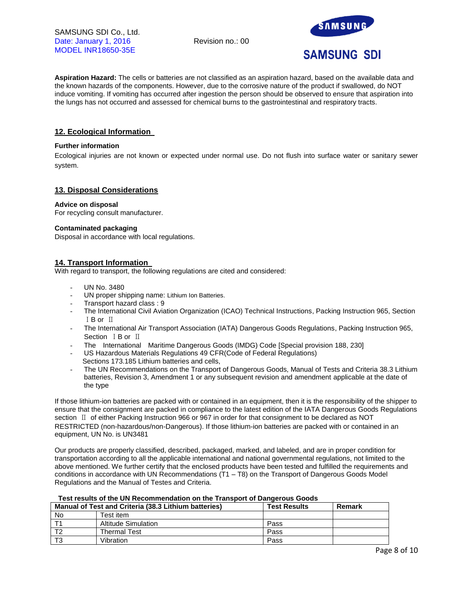

**Aspiration Hazard:** The cells or batteries are not classified as an aspiration hazard, based on the available data and the known hazards of the components. However, due to the corrosive nature of the product if swallowed, do NOT induce vomiting. If vomiting has occurred after ingestion the person should be observed to ensure that aspiration into the lungs has not occurred and assessed for chemical burns to the gastrointestinal and respiratory tracts.

# **12. Ecological Information**

# **Further information**

Ecological injuries are not known or expected under normal use. Do not flush into surface water or sanitary sewer system.

# **13. Disposal Considerations**

## **Advice on disposal**

For recycling consult manufacturer.

#### **Contaminated packaging**

Disposal in accordance with local regulations.

# **14. Transport Information**

With regard to transport, the following regulations are cited and considered:

- UN No. 3480
- UN proper shipping name: Lithium Ion Batteries.
- Transport hazard class : 9
- The International Civil Aviation Organization (ICAO) Technical Instructions, Packing Instruction 965, Section ⅠB or Ⅱ
- The International Air Transport Association (IATA) Dangerous Goods Regulations, Packing Instruction 965, Section ⅠB or Ⅱ
- The International Maritime Dangerous Goods (IMDG) Code [Special provision 188, 230]
- US Hazardous Materials Regulations 49 CFR(Code of Federal Regulations) Sections 173.185 Lithium batteries and cells,
- The UN Recommendations on the Transport of Dangerous Goods, Manual of Tests and Criteria 38.3 Lithium batteries, Revision 3, Amendment 1 or any subsequent revision and amendment applicable at the date of the type

If those lithium-ion batteries are packed with or contained in an equipment, then it is the responsibility of the shipper to ensure that the consignment are packed in compliance to the latest edition of the IATA Dangerous Goods Regulations section Ⅱ of either Packing Instruction 966 or 967 in order for that consignment to be declared as NOT RESTRICTED (non-hazardous/non-Dangerous). If those lithium-ion batteries are packed with or contained in an equipment, UN No. is UN3481

Our products are properly classified, described, packaged, marked, and labeled, and are in proper condition for transportation according to all the applicable international and national governmental regulations, not limited to the above mentioned. We further certify that the enclosed products have been tested and fulfilled the requirements and conditions in accordance with UN Recommendations (T1 – T8) on the Transport of Dangerous Goods Model Regulations and the Manual of Testes and Criteria.

## **Test results of the UN Recommendation on the Transport of Dangerous Goods**

| Manual of Test and Criteria (38.3 Lithium batteries) |                     | <b>Test Results</b> | Remark |
|------------------------------------------------------|---------------------|---------------------|--------|
| No                                                   | Test item.          |                     |        |
|                                                      | Altitude Simulation | Pass                |        |
|                                                      | <b>Thermal Test</b> | Pass                |        |
|                                                      | Vibration           | Pass                |        |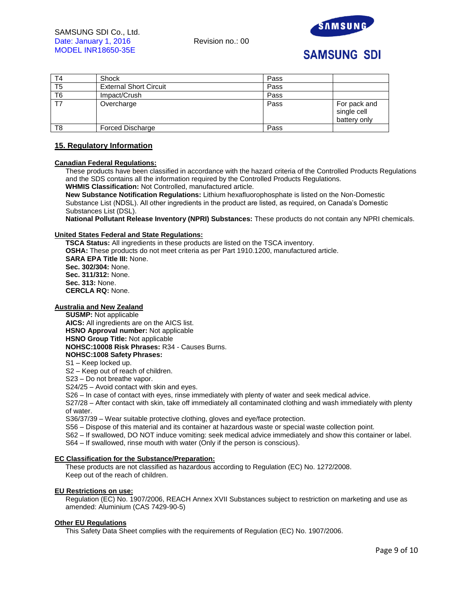

# **SAMSUNG SDI**

| T4             | Shock                         | Pass |                                             |
|----------------|-------------------------------|------|---------------------------------------------|
| T <sub>5</sub> | <b>External Short Circuit</b> | Pass |                                             |
| T <sub>6</sub> | Impact/Crush                  | Pass |                                             |
|                | Overcharge                    | Pass | For pack and<br>single cell<br>battery only |
| T8             | <b>Forced Discharge</b>       | Pass |                                             |

# **15. Regulatory Information**

#### **Canadian Federal Regulations:**

These products have been classified in accordance with the hazard criteria of the Controlled Products Regulations and the SDS contains all the information required by the Controlled Products Regulations. **WHMIS Classification:** Not Controlled, manufactured article.

**New Substance Notification Regulations:** Lithium hexafluorophosphate is listed on the Non-Domestic Substance List (NDSL). All other ingredients in the product are listed, as required, on Canada's Domestic Substances List (DSL).

**National Pollutant Release Inventory (NPRI) Substances:** These products do not contain any NPRI chemicals.

#### **United States Federal and State Regulations:**

**TSCA Status:** All ingredients in these products are listed on the TSCA inventory. **OSHA:** These products do not meet criteria as per Part 1910.1200, manufactured article. **SARA EPA Title III:** None. **Sec. 302/304:** None. **Sec. 311/312:** None. **Sec. 313:** None. **CERCLA RQ:** None.

# **Australia and New Zealand**

**SUSMP:** Not applicable **AICS:** All ingredients are on the AICS list. **HSNO Approval number:** Not applicable **HSNO Group Title:** Not applicable **NOHSC:10008 Risk Phrases:** R34 - Causes Burns. **NOHSC:1008 Safety Phrases:**

# S1 – Keep locked up.

S2 – Keep out of reach of children.

S23 – Do not breathe vapor.

S24/25 – Avoid contact with skin and eyes.

S26 – In case of contact with eyes, rinse immediately with plenty of water and seek medical advice.

S27/28 – After contact with skin, take off immediately all contaminated clothing and wash immediately with plenty of water.

S36/37/39 – Wear suitable protective clothing, gloves and eye/face protection.

S56 – Dispose of this material and its container at hazardous waste or special waste collection point.

S62 – If swallowed, DO NOT induce vomiting: seek medical advice immediately and show this container or label.

S64 – If swallowed, rinse mouth with water (Only if the person is conscious).

#### **EC Classification for the Substance/Preparation:**

These products are not classified as hazardous according to Regulation (EC) No. 1272/2008. Keep out of the reach of children.

## **EU Restrictions on use:**

Regulation (EC) No. 1907/2006, REACH Annex XVII Substances subject to restriction on marketing and use as amended: Aluminium (CAS 7429-90-5)

#### **Other EU Regulations**

This Safety Data Sheet complies with the requirements of Regulation (EC) No. 1907/2006.